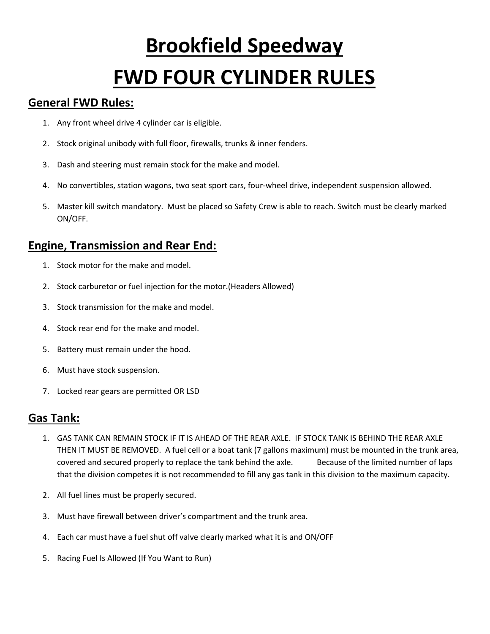# **Brookfield Speedway FWD FOUR CYLINDER RULES**

### **General FWD Rules:**

- 1. Any front wheel drive 4 cylinder car is eligible.
- 2. Stock original unibody with full floor, firewalls, trunks & inner fenders.
- 3. Dash and steering must remain stock for the make and model.
- 4. No convertibles, station wagons, two seat sport cars, four-wheel drive, independent suspension allowed.
- 5. Master kill switch mandatory. Must be placed so Safety Crew is able to reach. Switch must be clearly marked ON/OFF.

## **Engine, Transmission and Rear End:**

- 1. Stock motor for the make and model.
- 2. Stock carburetor or fuel injection for the motor.(Headers Allowed)
- 3. Stock transmission for the make and model.
- 4. Stock rear end for the make and model.
- 5. Battery must remain under the hood.
- 6. Must have stock suspension.
- 7. Locked rear gears are permitted OR LSD

#### **Gas Tank:**

- 1. GAS TANK CAN REMAIN STOCK IF IT IS AHEAD OF THE REAR AXLE. IF STOCK TANK IS BEHIND THE REAR AXLE THEN IT MUST BE REMOVED. A fuel cell or a boat tank (7 gallons maximum) must be mounted in the trunk area, covered and secured properly to replace the tank behind the axle. Because of the limited number of laps that the division competes it is not recommended to fill any gas tank in this division to the maximum capacity.
- 2. All fuel lines must be properly secured.
- 3. Must have firewall between driver's compartment and the trunk area.
- 4. Each car must have a fuel shut off valve clearly marked what it is and ON/OFF
- 5. Racing Fuel Is Allowed (If You Want to Run)